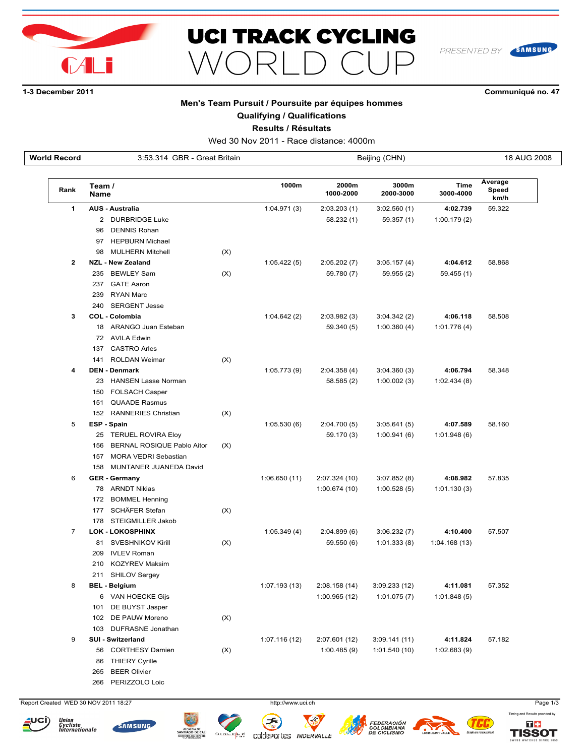



# **13 December 2011 Communiqué no. 47**

PRESENTED BY

SAMSUNG

### **Men's Team Pursuit / Poursuite par équipes hommes**

## **Qualifying / Qualifications**

**Results / Résultats**

Wed 30 Nov 2011 - Race distance: 4000m

| World Record | 3:53.314 GBR - Great Britain      |                             |       |                                          |               | Beijing (CHN)     |                          | 18 AUG 2008 |  |
|--------------|-----------------------------------|-----------------------------|-------|------------------------------------------|---------------|-------------------|--------------------------|-------------|--|
| Rank         | Team /<br><b>Name</b>             |                             | 1000m | 2000m<br>3000m<br>1000-2000<br>2000-3000 |               | Time<br>3000-4000 | Average<br>Speed<br>km/h |             |  |
| 1            | <b>AUS - Australia</b>            |                             |       | 1:04.971(3)                              | 2:03.203(1)   | 3:02.560(1)       | 4:02.739                 | 59.322      |  |
|              | 2 DURBRIDGE Luke                  |                             |       |                                          | 58.232 (1)    | 59.357 (1)        | 1:00.179(2)              |             |  |
|              | <b>DENNIS Rohan</b><br>96         |                             |       |                                          |               |                   |                          |             |  |
|              | 97 HEPBURN Michael                |                             |       |                                          |               |                   |                          |             |  |
|              | <b>MULHERN Mitchell</b><br>98     |                             | (X)   |                                          |               |                   |                          |             |  |
| $\mathbf{2}$ | <b>NZL - New Zealand</b>          |                             |       | 1:05.422(5)                              | 2:05.202(7)   | 3:05.157(4)       | 4:04.612                 | 58.868      |  |
|              | <b>BEWLEY Sam</b><br>235          |                             | (X)   |                                          | 59.780 (7)    | 59.955 (2)        | 59.455 (1)               |             |  |
|              | 237 GATE Aaron                    |                             |       |                                          |               |                   |                          |             |  |
|              | 239<br><b>RYAN Marc</b>           |                             |       |                                          |               |                   |                          |             |  |
|              | <b>SERGENT Jesse</b><br>240       |                             |       |                                          |               |                   |                          |             |  |
| 3            | <b>COL - Colombia</b>             |                             |       | 1:04.642(2)                              | 2:03.982(3)   | 3:04.342(2)       | 4:06.118                 | 58.508      |  |
|              | 18 ARANGO Juan Esteban            |                             |       |                                          | 59.340 (5)    | 1:00.360(4)       | 1:01.776(4)              |             |  |
|              | 72 AVILA Edwin                    |                             |       |                                          |               |                   |                          |             |  |
|              | <b>CASTRO Arles</b><br>137        |                             |       |                                          |               |                   |                          |             |  |
|              | <b>ROLDAN Weimar</b><br>141       |                             | (X)   |                                          |               |                   |                          |             |  |
| 4            | <b>DEN - Denmark</b>              |                             |       | 1:05.773(9)                              | 2:04.358(4)   | 3:04.360(3)       | 4:06.794                 | 58.348      |  |
|              | 23 HANSEN Lasse Norman            |                             |       |                                          | 58.585 (2)    | 1:00.002(3)       | 1:02.434(8)              |             |  |
|              | <b>FOLSACH Casper</b><br>150      |                             |       |                                          |               |                   |                          |             |  |
|              | 151 QUAADE Rasmus                 |                             |       |                                          |               |                   |                          |             |  |
|              | <b>RANNERIES Christian</b><br>152 |                             | (X)   |                                          |               |                   |                          |             |  |
| 5            | <b>ESP - Spain</b>                |                             |       | 1:05.530(6)                              | 2:04.700(5)   | 3:05.641(5)       | 4:07.589                 | 58.160      |  |
|              | 25 TERUEL ROVIRA Eloy             |                             |       |                                          | 59.170 (3)    | 1:00.941(6)       | 1:01.948(6)              |             |  |
|              | 156                               | BERNAL ROSIQUE Pablo Aitor  | (X)   |                                          |               |                   |                          |             |  |
|              | 157                               | <b>MORA VEDRI Sebastian</b> |       |                                          |               |                   |                          |             |  |
|              | 158                               | MUNTANER JUANEDA David      |       |                                          |               |                   |                          |             |  |
| 6            | <b>GER - Germany</b>              |                             |       | 1:06.650(11)                             | 2:07.324 (10) | 3:07.852(8)       | 4:08.982                 | 57.835      |  |
|              | 78 ARNDT Nikias                   |                             |       |                                          | 1:00.674 (10) | 1:00.528(5)       | 1:01.130(3)              |             |  |
|              | <b>BOMMEL Henning</b><br>172      |                             |       |                                          |               |                   |                          |             |  |
|              | SCHÄFER Stefan<br>177             |                             | (X)   |                                          |               |                   |                          |             |  |
|              | STEIGMILLER Jakob<br>178          |                             |       |                                          |               |                   |                          |             |  |
| 7            | <b>LOK - LOKOSPHINX</b>           |                             |       | 1:05.349(4)                              | 2:04.899(6)   | 3:06.232(7)       | 4:10.400                 | 57.507      |  |
|              | SVESHNIKOV Kirill<br>81           |                             | (X)   |                                          | 59.550 (6)    | 1:01.333(8)       | 1:04.168(13)             |             |  |
|              | <b>IVLEV Roman</b><br>209         |                             |       |                                          |               |                   |                          |             |  |
|              | 210 KOZYREV Maksim                |                             |       |                                          |               |                   |                          |             |  |
|              | 211 SHILOV Sergey                 |                             |       |                                          |               |                   |                          |             |  |
| 8            | <b>BEL - Belgium</b>              |                             |       | 1:07.193(13)                             | 2:08.158(14)  | 3:09.233(12)      | 4:11.081                 | 57.352      |  |
|              | 6 VAN HOECKE Gijs                 |                             |       |                                          | 1:00.965(12)  | 1:01.075(7)       | 1:01.848(5)              |             |  |
|              | 101 DE BUYST Jasper               |                             |       |                                          |               |                   |                          |             |  |
|              | 102 DE PAUW Moreno                |                             | (X)   |                                          |               |                   |                          |             |  |
|              | 103 DUFRASNE Jonathan             |                             |       |                                          |               |                   |                          |             |  |
| 9            | SUI - Switzerland                 |                             |       | 1:07.116(12)                             | 2:07.601 (12) | 3:09.141(11)      | 4:11.824                 | 57.182      |  |
|              | 56 CORTHESY Damien                |                             | (X)   |                                          | 1:00.485(9)   | 1:01.540(10)      | 1:02.683(9)              |             |  |
|              | 86 THIERY Cyrille                 |                             |       |                                          |               |                   |                          |             |  |
|              | 265 BEER Olivier                  |                             |       |                                          |               |                   |                          |             |  |

266 PERIZZOLO Loic

Report Created WED 30 NOV 2011 18:27 http://www.uci.ch Page 1/3













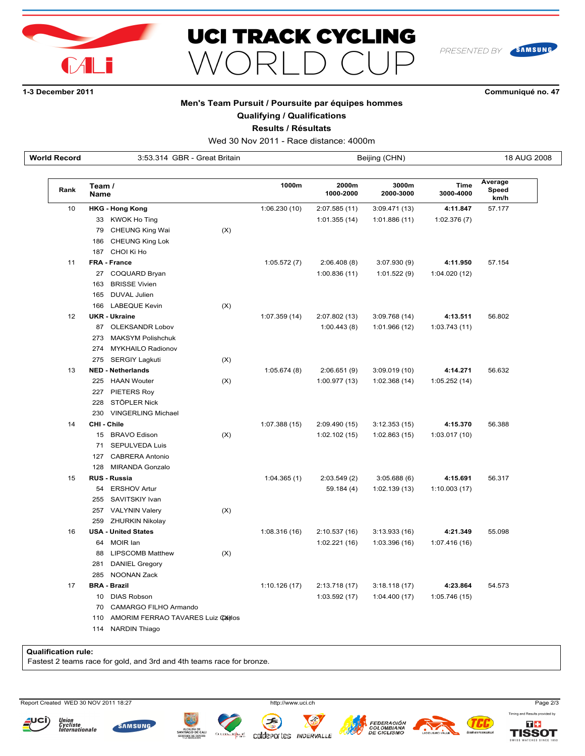



# **13 December 2011 Communiqué no. 47**

PRESENTED BY

SAMSUNG

### **Men's Team Pursuit / Poursuite par équipes hommes**

**Qualifying / Qualifications**

**Results / Résultats**

| <b>World Record</b> | 3:53.314 GBR - Great Britain             | 18 AUG 2008<br>Beijing (CHN) |               |                    |                    |                   |                          |
|---------------------|------------------------------------------|------------------------------|---------------|--------------------|--------------------|-------------------|--------------------------|
| Rank                | Team /<br><b>Name</b>                    |                              | 1000m         | 2000m<br>1000-2000 | 3000m<br>2000-3000 | Time<br>3000-4000 | Average<br>Speed<br>km/h |
| 10                  | <b>HKG - Hong Kong</b>                   |                              | 1:06.230 (10) | 2:07.585(11)       | 3:09.471(13)       | 4:11.847          | 57.177                   |
|                     | 33 KWOK Ho Ting                          |                              |               | 1:01.355 (14)      | 1:01.886(11)       | 1:02.376(7)       |                          |
|                     | <b>CHEUNG King Wai</b><br>79             | (X)                          |               |                    |                    |                   |                          |
|                     | CHEUNG King Lok<br>186                   |                              |               |                    |                    |                   |                          |
|                     | 187<br>CHOI Ki Ho                        |                              |               |                    |                    |                   |                          |
| 11                  | <b>FRA - France</b>                      |                              | 1:05.572(7)   | 2:06.408(8)        | 3:07.930 (9)       | 4:11.950          | 57.154                   |
|                     | 27 COQUARD Bryan                         |                              |               | 1:00.836 (11)      | 1:01.522(9)        | 1:04.020 (12)     |                          |
|                     | 163 BRISSE Vivien                        |                              |               |                    |                    |                   |                          |
|                     | 165<br>DUVAL Julien                      |                              |               |                    |                    |                   |                          |
|                     | <b>LABEQUE Kevin</b><br>166              | (X)                          |               |                    |                    |                   |                          |
| 12                  | <b>UKR - Ukraine</b>                     |                              | 1:07.359 (14) | 2:07.802 (13)      | 3:09.768 (14)      | 4:13.511          | 56.802                   |
|                     | 87 OLEKSANDR Lobov                       |                              |               | 1:00.443(8)        | 1:01.966 (12)      | 1:03.743(11)      |                          |
|                     | <b>MAKSYM Polishchuk</b><br>273          |                              |               |                    |                    |                   |                          |
|                     | <b>MYKHAILO Radionov</b><br>274          |                              |               |                    |                    |                   |                          |
|                     | 275<br><b>SERGIY Lagkuti</b>             | (X)                          |               |                    |                    |                   |                          |
| 13                  | <b>NED - Netherlands</b>                 |                              | 1:05.674(8)   | 2:06.651(9)        | 3:09.019(10)       | 4:14.271          | 56.632                   |
|                     | <b>HAAN Wouter</b><br>225                | (X)                          |               | 1:00.977 (13)      | 1:02.368(14)       | 1:05.252(14)      |                          |
|                     | 227 PIETERS Roy                          |                              |               |                    |                    |                   |                          |
|                     | 228<br>STÖPLER Nick                      |                              |               |                    |                    |                   |                          |
|                     | <b>VINGERLING Michael</b><br>230         |                              |               |                    |                    |                   |                          |
| 14                  | CHI - Chile                              |                              | 1:07.388 (15) | 2:09.490(15)       | 3:12.353(15)       | 4:15.370          | 56.388                   |
|                     | 15 BRAVO Edison                          | (X)                          |               | 1:02.102(15)       | 1:02.863(15)       | 1:03.017 (10)     |                          |
|                     | <b>SEPULVEDA Luis</b><br>71              |                              |               |                    |                    |                   |                          |
|                     | <b>CABRERA Antonio</b><br>127            |                              |               |                    |                    |                   |                          |
|                     | <b>MIRANDA Gonzalo</b><br>128            |                              |               |                    |                    |                   |                          |
| 15                  | <b>RUS - Russia</b>                      |                              | 1:04.365(1)   | 2:03.549(2)        | 3:05.688(6)        | 4:15.691          | 56.317                   |
|                     | 54 ERSHOV Artur                          |                              |               | 59.184 (4)         | 1:02.139(13)       | 1:10.003(17)      |                          |
|                     | SAVITSKIY Ivan<br>255                    |                              |               |                    |                    |                   |                          |
|                     | 257<br>VALYNIN Valery                    | (X)                          |               |                    |                    |                   |                          |
|                     | 259<br><b>ZHURKIN Nikolay</b>            |                              |               |                    |                    |                   |                          |
| 16                  | <b>USA - United States</b>               |                              | 1:08.316(16)  | 2:10.537 (16)      | 3:13.933(16)       | 4:21.349          | 55.098                   |
|                     | MOIR lan<br>64                           |                              |               | 1:02.221(16)       | 1:03.396 (16)      | 1:07.416(16)      |                          |
|                     | <b>LIPSCOMB Matthew</b><br>88            | (X)                          |               |                    |                    |                   |                          |
|                     | <b>DANIEL Gregory</b><br>281             |                              |               |                    |                    |                   |                          |
|                     | <b>NOONAN Zack</b><br>285                |                              |               |                    |                    |                   |                          |
| 17                  | <b>BRA - Brazil</b>                      |                              | 1:10.126(17)  | 2:13.718 (17)      | 3:18.118(17)       | 4:23.864          | 54.573                   |
|                     | <b>DIAS Robson</b><br>10                 |                              |               | 1:03.592 (17)      | 1:04.400(17)       | 1:05.746 (15)     |                          |
|                     | CAMARGO FILHO Armando<br>70              |                              |               |                    |                    |                   |                          |
|                     | AMORIM FERRAO TAVARES Luiz Cailos<br>110 |                              |               |                    |                    |                   |                          |

114 NARDIN Thiago

**Qualification rule:**

Fastest 2 teams race for gold, and 3rd and 4th teams race for bronze.

Report Created WED 30 NOV 2011 18:27 http://www.uci.ch Page 2/3







تمصل

**Z** 

coldeportes INDERVALLE